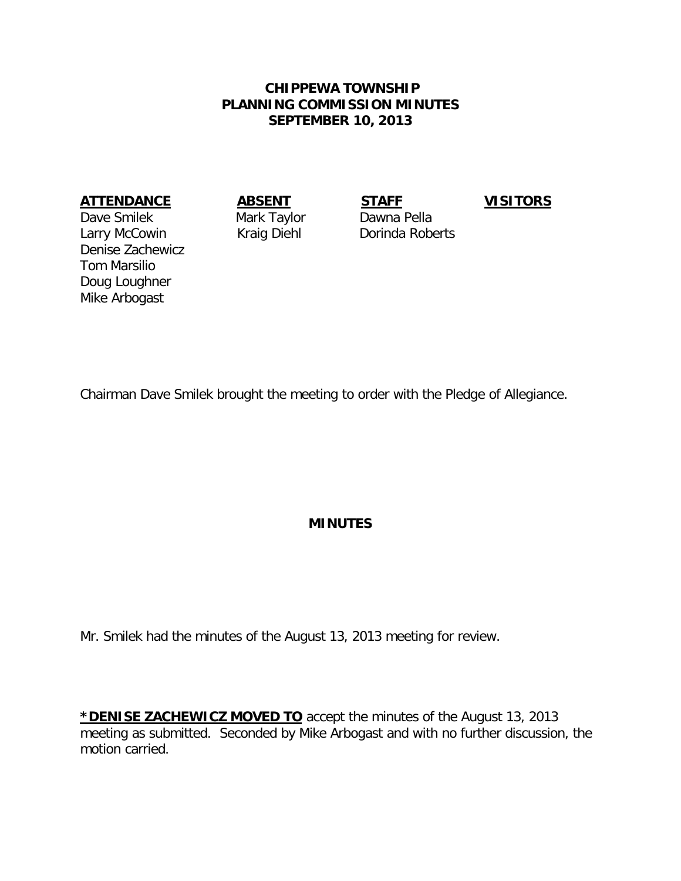## **CHIPPEWA TOWNSHIP PLANNING COMMISSION MINUTES SEPTEMBER 10, 2013**

## **ATTENDANCE ABSENT STAFF VISITORS**

Dave Smilek Mark Taylor Dawna Pella Larry McCowin **Kraig Diehl** Dorinda Roberts Denise Zachewicz Tom Marsilio Doug Loughner Mike Arbogast

Chairman Dave Smilek brought the meeting to order with the Pledge of Allegiance.

## **MINUTES**

Mr. Smilek had the minutes of the August 13, 2013 meeting for review.

**\*DENISE ZACHEWICZ MOVED TO** accept the minutes of the August 13, 2013 meeting as submitted. Seconded by Mike Arbogast and with no further discussion, the motion carried.